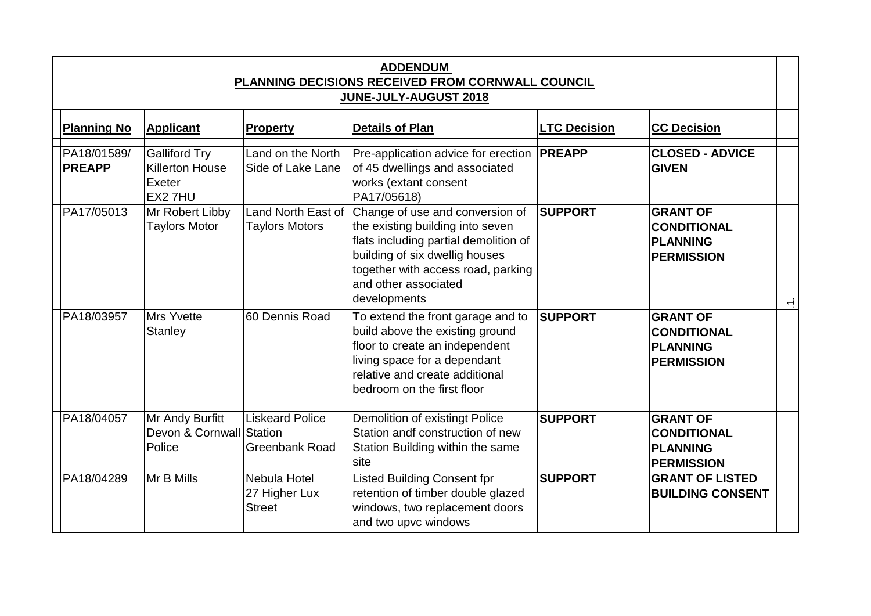| <b>ADDENDUM</b><br>PLANNING DECISIONS RECEIVED FROM CORNWALL COUNCIL<br><b>JUNE-JULY-AUGUST 2018</b> |                                                                    |                                                 |                                                                                                                                                                                                                              |                     |                                                                                                       |  |
|------------------------------------------------------------------------------------------------------|--------------------------------------------------------------------|-------------------------------------------------|------------------------------------------------------------------------------------------------------------------------------------------------------------------------------------------------------------------------------|---------------------|-------------------------------------------------------------------------------------------------------|--|
| <b>Planning No</b>                                                                                   | <b>Applicant</b>                                                   | Property                                        | <b>Details of Plan</b>                                                                                                                                                                                                       | <b>LTC Decision</b> | <b>CC Decision</b>                                                                                    |  |
| PA18/01589/<br><b>PREAPP</b>                                                                         | <b>Galliford Try</b><br>Killerton House<br>Exeter<br><b>EX27HU</b> | Land on the North<br>Side of Lake Lane          | Pre-application advice for erection<br>of 45 dwellings and associated<br>works (extant consent<br>PA17/05618)                                                                                                                | <b>PREAPP</b>       | <b>CLOSED - ADVICE</b><br><b>GIVEN</b>                                                                |  |
| PA17/05013                                                                                           | Mr Robert Libby<br><b>Taylors Motor</b>                            | Land North East of<br><b>Taylors Motors</b>     | Change of use and conversion of<br>the existing building into seven<br>flats including partial demolition of<br>building of six dwellig houses<br>together with access road, parking<br>and other associated<br>developments | <b>SUPPORT</b>      | <b>GRANT OF</b><br><b>CONDITIONAL</b><br><b>PLANNING</b><br><b>PERMISSION</b><br>$\frac{1}{\sqrt{2}}$ |  |
| PA18/03957                                                                                           | Mrs Yvette<br>Stanley                                              | 60 Dennis Road                                  | To extend the front garage and to<br>build above the existing ground<br>floor to create an independent<br>living space for a dependant<br>relative and create additional<br>bedroom on the first floor                       | <b>SUPPORT</b>      | <b>GRANT OF</b><br><b>CONDITIONAL</b><br><b>PLANNING</b><br><b>PERMISSION</b>                         |  |
| PA18/04057                                                                                           | Mr Andy Burfitt<br>Devon & Cornwall Station<br>Police              | <b>Liskeard Police</b><br><b>Greenbank Road</b> | Demolition of existingt Police<br>Station andf construction of new<br>Station Building within the same<br>site                                                                                                               | <b>SUPPORT</b>      | <b>GRANT OF</b><br><b>CONDITIONAL</b><br><b>PLANNING</b><br><b>PERMISSION</b>                         |  |
| PA18/04289                                                                                           | Mr B Mills                                                         | Nebula Hotel<br>27 Higher Lux<br><b>Street</b>  | Listed Building Consent fpr<br>retention of timber double glazed<br>windows, two replacement doors<br>and two upvc windows                                                                                                   | <b>SUPPORT</b>      | <b>GRANT OF LISTED</b><br><b>BUILDING CONSENT</b>                                                     |  |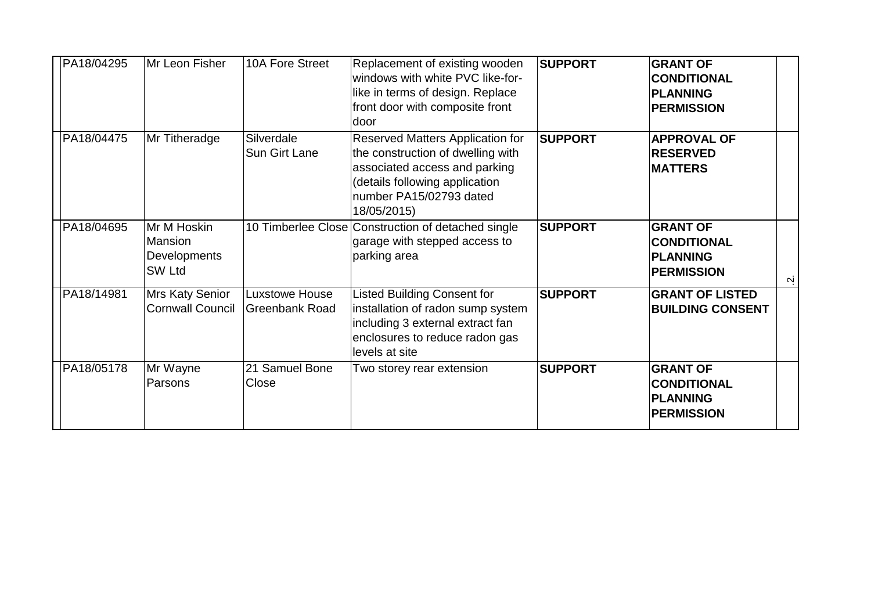| PA18/04295 | Mr Leon Fisher                                                 | 10A Fore Street                    | Replacement of existing wooden<br>windows with white PVC like-for-<br>like in terms of design. Replace<br>front door with composite front<br>door                                  | <b>SUPPORT</b> | <b>GRANT OF</b><br><b>CONDITIONAL</b><br><b>PLANNING</b><br><b>PERMISSION</b> |           |
|------------|----------------------------------------------------------------|------------------------------------|------------------------------------------------------------------------------------------------------------------------------------------------------------------------------------|----------------|-------------------------------------------------------------------------------|-----------|
| PA18/04475 | Mr Titheradge                                                  | Silverdale<br><b>Sun Girt Lane</b> | Reserved Matters Application for<br>the construction of dwelling with<br>associated access and parking<br>(details following application<br>number PA15/02793 dated<br>18/05/2015) | <b>SUPPORT</b> | <b>APPROVAL OF</b><br><b>RESERVED</b><br><b>MATTERS</b>                       |           |
| PA18/04695 | Mr M Hoskin<br><b>Mansion</b><br><b>Developments</b><br>SW Ltd |                                    | 10 Timberlee Close Construction of detached single<br>garage with stepped access to<br>parking area                                                                                | <b>SUPPORT</b> | <b>GRANT OF</b><br><b>CONDITIONAL</b><br><b>PLANNING</b><br><b>PERMISSION</b> | $\dot{N}$ |
| PA18/14981 | Mrs Katy Senior<br><b>Cornwall Council</b>                     | Luxstowe House<br>Greenbank Road   | <b>Listed Building Consent for</b><br>installation of radon sump system<br>including 3 external extract fan<br>enclosures to reduce radon gas<br>levels at site                    | <b>SUPPORT</b> | <b>GRANT OF LISTED</b><br><b>BUILDING CONSENT</b>                             |           |
| PA18/05178 | Mr Wayne<br>Parsons                                            | 21 Samuel Bone<br>Close            | Two storey rear extension                                                                                                                                                          | <b>SUPPORT</b> | <b>GRANT OF</b><br><b>CONDITIONAL</b><br><b>PLANNING</b><br><b>PERMISSION</b> |           |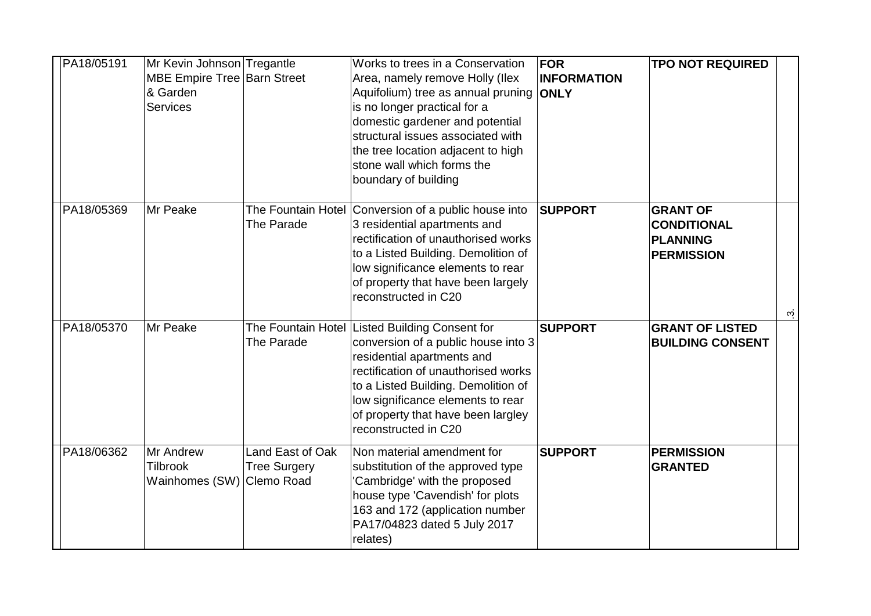| PA18/05191 | Mr Kevin Johnson Tregantle<br>MBE Empire Tree Barn Street<br>& Garden<br><b>Services</b> |                                         | Works to trees in a Conservation<br>Area, namely remove Holly (Ilex<br>Aquifolium) tree as annual pruning<br>is no longer practical for a<br>domestic gardener and potential<br>structural issues associated with<br>the tree location adjacent to high<br>stone wall which forms the<br>boundary of building | <b>FOR</b><br><b>INFORMATION</b><br><b>ONLY</b> | <b>TPO NOT REQUIRED</b>                                                                  |
|------------|------------------------------------------------------------------------------------------|-----------------------------------------|---------------------------------------------------------------------------------------------------------------------------------------------------------------------------------------------------------------------------------------------------------------------------------------------------------------|-------------------------------------------------|------------------------------------------------------------------------------------------|
| PA18/05369 | Mr Peake                                                                                 | The Parade                              | The Fountain Hotel Conversion of a public house into<br>3 residential apartments and<br>rectification of unauthorised works<br>to a Listed Building. Demolition of<br>low significance elements to rear<br>of property that have been largely<br>reconstructed in C20                                         | <b>SUPPORT</b>                                  | <b>GRANT OF</b><br><b>CONDITIONAL</b><br>PLANNING<br><b>PERMISSION</b><br>$\dot{\omega}$ |
| PA18/05370 | Mr Peake                                                                                 | The Parade                              | The Fountain Hotel Listed Building Consent for<br>conversion of a public house into 3<br>residential apartments and<br>rectification of unauthorised works<br>to a Listed Building. Demolition of<br>low significance elements to rear<br>of property that have been largley<br>reconstructed in C20          | <b>SUPPORT</b>                                  | <b>GRANT OF LISTED</b><br><b>BUILDING CONSENT</b>                                        |
| PA18/06362 | <b>Mr Andrew</b><br><b>Tilbrook</b><br>Wainhomes (SW) Clemo Road                         | Land East of Oak<br><b>Tree Surgery</b> | Non material amendment for<br>substitution of the approved type<br>'Cambridge' with the proposed<br>house type 'Cavendish' for plots<br>163 and 172 (application number<br>PA17/04823 dated 5 July 2017<br>relates)                                                                                           | <b>SUPPORT</b>                                  | <b>PERMISSION</b><br><b>GRANTED</b>                                                      |